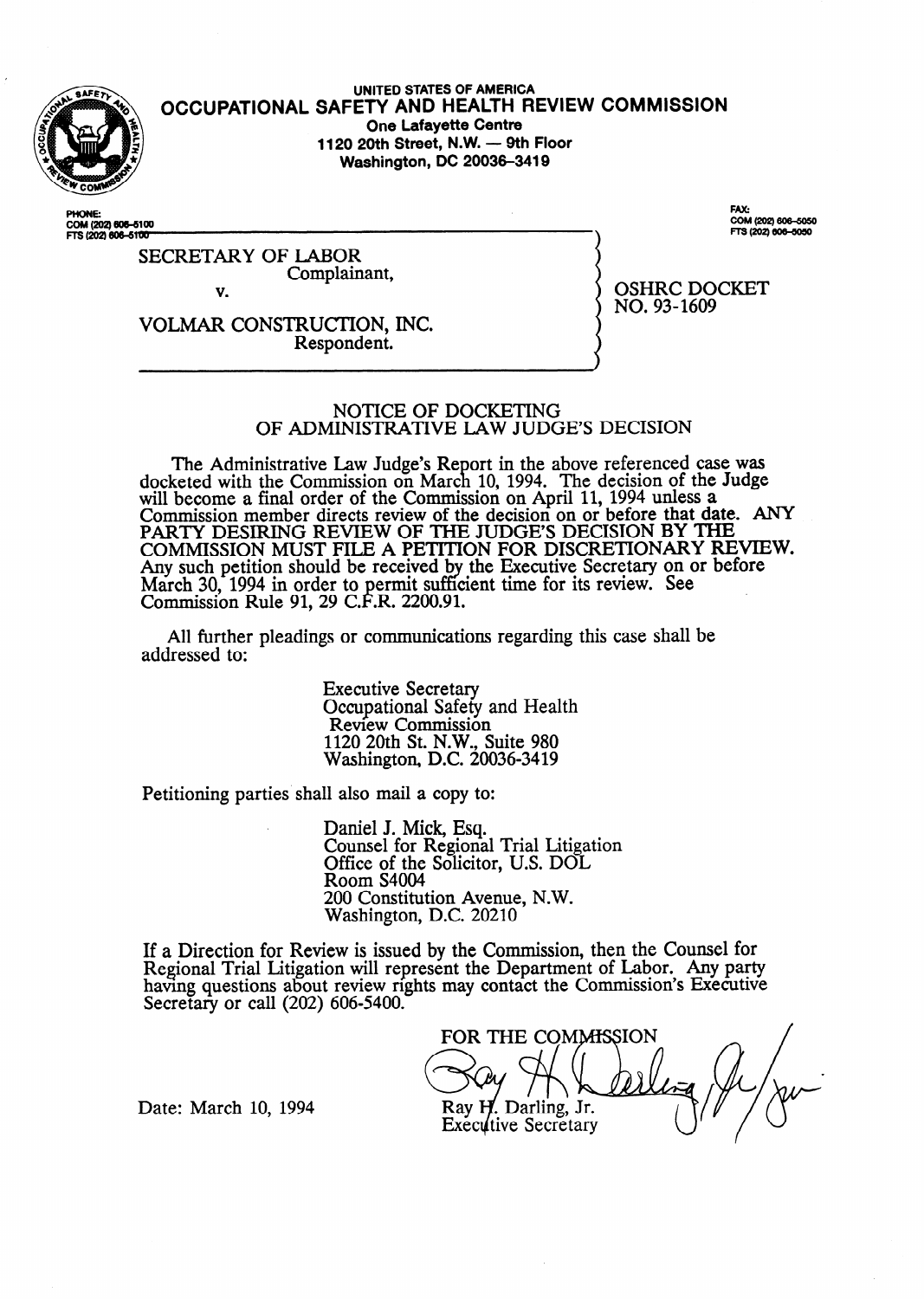

**UNITED STATES OF AMERICA OCCUPATIONAL SAFETY AND HEALTH REVIEW** COMMISSION **One Lafayette Centre 1120 20th Street, N.W. - 9th Floor Washington, DC 20036-3419** 

COM (202) 606-6100<br>FTS (202) 606-6100

FAX: COM (202) 606-5050 FTS (202) 606-5050

SECRETARY OF LABOR Complainant, v.

OSHRC DOCKET NO. 93-1609

 $\lambda$ 

VOLMAR CONSTRUCTION, INC. Respondent.

#### NOTICE OF DOCKETING OF ADMINISTRATIVE IAW JUDGE'S DECISION

The Administrative Law Judge's Report in the above referenced case was docketed with the Commission on March 10, 1994. The decision of the Judge will become a final order of the Commission on April 11, 1994 unless a Commission member directs review of the decision on or before that date. ANY PARTY DESIRING REVIEW OF THE JUDGES DECISION BY THE COMMISSION MUST FILE A PETITION FOR DISCRETIONARY REVIEW. Any such petition should be received by the Executive Secretary on or before March 30, 1994 in order to permit sufficient time for its review. See Commission Rule 91, 29 C.F.R. 2200.91.

All further pleadings or communications regarding this case shall be addressed to:

> Executive Secretary Occupational Safety and Health Review Commission 1120 20th St. N.W., Suite 980 Washington, D.C. 20036-3419

Petitioning parties shall also mail a copy to:

Daniel J. Mick, Esq. Counsel for Regional Trial Litigation Office of the Solicitor, U.S. DOL Room S4004 200 Constitution Avenue, N.W. Washington, D.C. 20210

If a Direction for Review is issued by the Commission, then the Counsel for Regional Trial Litigation will represent the Department of Labor. Any party having questions about review rights may contact the Commission's Executive Secretary or call (202) 606-5400.

FOR THE COMMISSION Ray H. Darling, Jr. **Executive Secretary** 

Date: March 10, 1994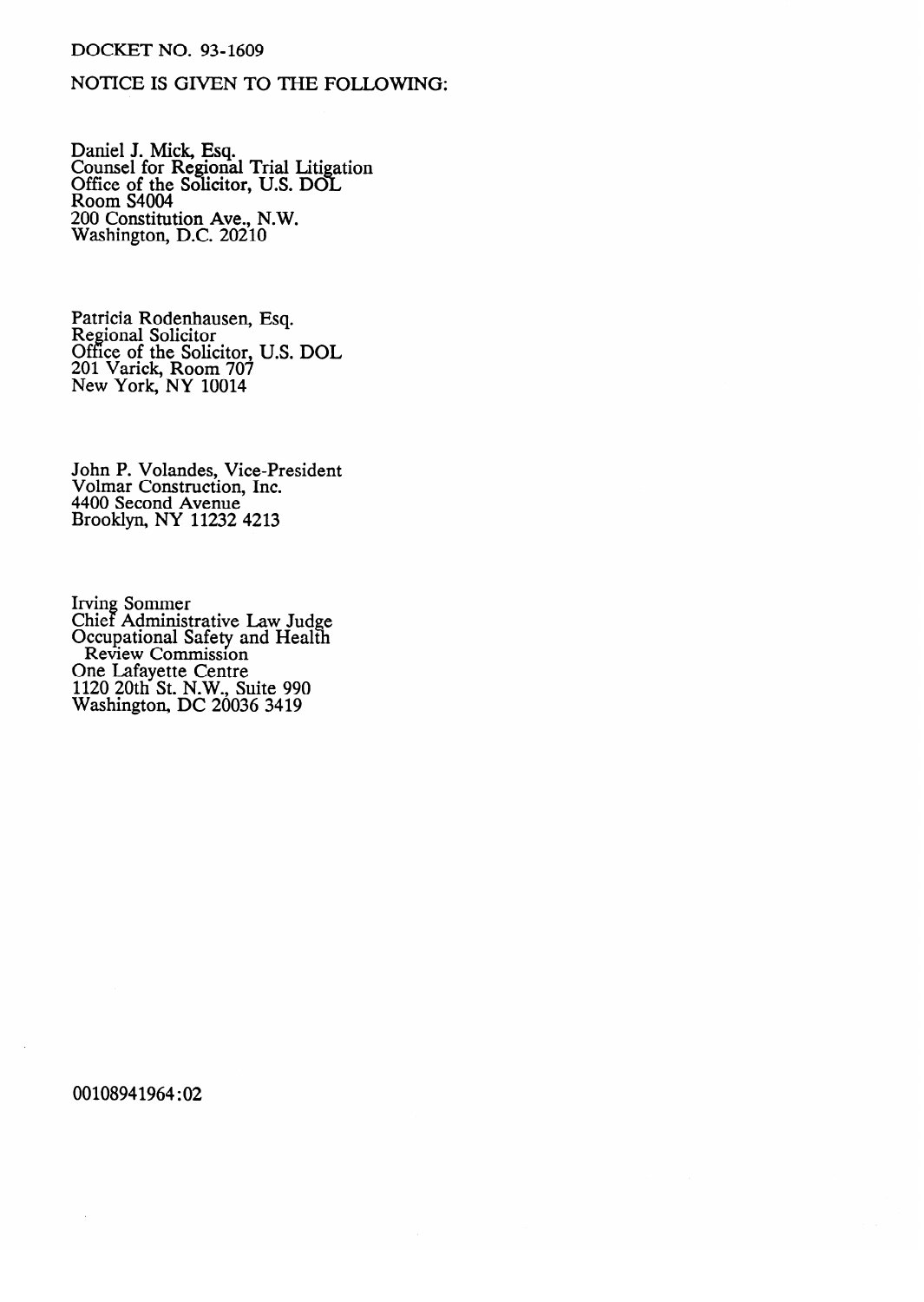## DOCKET NO. 93-1609

# NOTICE IS GIVEN TO THE FOLLOWING:

Daniel J. Mick, Esq.<br>Counsel for Regiona Counsel for Regional Trial Litigation<br>Office of the Solicitor TTS DOI Office of the Solicitor, U.S. DOL<br>Room S4004 1300m 04004<br>200 Constituti  $\frac{200}{300}$  Constitution  $\frac{1}{2}$  N.C. 20210 Washington, D.C. 20210

Regional Solicitor 7 Office of the Solic 201 Varick, Room 707 New York, NY 10014

John P. Volandes, Vice-President 4400 Second Avenue<br>Prooklyn, NV 11222-4212 Brooklyn, NY 11232

Cifici Administ<br>Occupational S Coupational Safety and Treature<br>Review Commission **One Lafavette Centre** no Banayono Commo<br>120 20th St. N.W., St  $W$ ashington, DC 2003  $1120$   $1120$ 

00108941964:02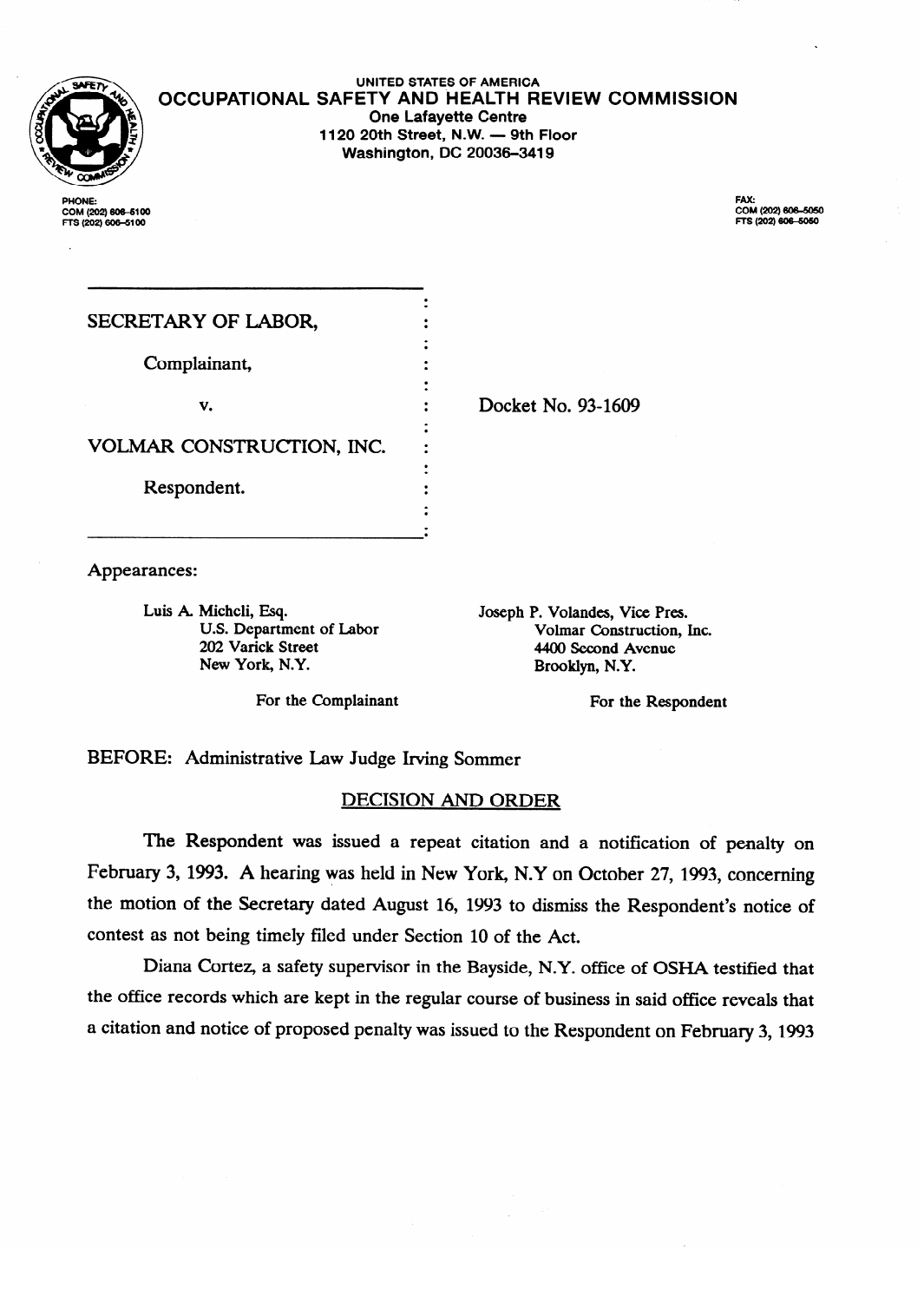

PHONE: **PHONE: COM (202) 6066100** 

**UNITED STATES OF AMERICA OCCUPATIONAL SAFETY AND HEALTH REVIEW COMMISSION One Lafayette Centre**<br>**1120 20th Street, N.W. — 9th Floor 1120 20th Street, N.W. - 9th Floor Washington, DC 20036-3419** 

> FAX:<br>COM (202) 606-5050 FTS (202) 606-5050

| SECRETARY OF LABOR,       |  |
|---------------------------|--|
| Complainant,              |  |
| v.                        |  |
| VOLMAR CONSTRUCTION, INC. |  |
| Respondent.               |  |
|                           |  |

Docket No. 93-1609

Joseph P. Volandes, Vice Pres.

Appearances:

Appearances: U.S. Department of Labor<br>
202 Varick Street<br>
4400 Second Avenue New York, N.Y. Brooklyn, N.Y.

For the Complainant For the Respondent

 $202.401$ 

BEFORE: Administrative Law Judge Irving Sommer

## **DECISION AND ORDER**

.

The Respondent was issued a repeat citation and a notification of penalty on February 3, 1993. A hearing was held in New York, N.Y on October 27, 1993, concerning the motion of the Secretary dated August 16, 1993 to dismiss the Respondent's notice of contest as not being timely filed under Section 10 of the Act.

Diana Cortez, a safety supervisor in the Bayside, N.Y. office of OSHA testified that the office records which are kept in the regular course of business in said office reveals that a citation and notice of proposed penalty was issued to the Respondent on February 3, 1993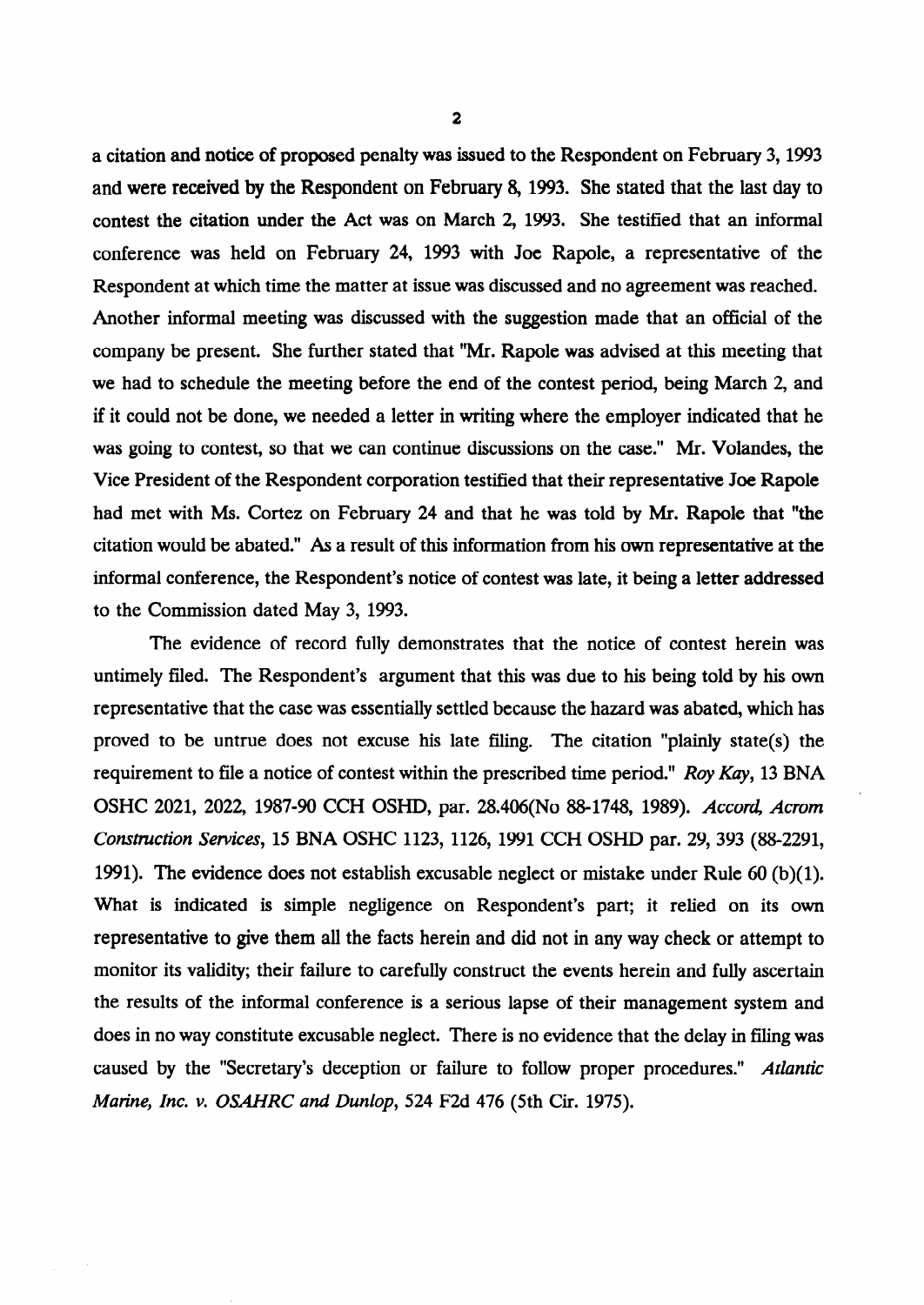a citation and notice of proposed penalty was issued to the Respondent on February 3,1993 and were received by the Respondent on February 8, 1993. She stated that the last day to contest the citation under the Act was on March 2, 1993. She testified that an informal conference was held on February *24,* 1993 with Joe Rapole, a representative of the Respondent at which time the matter at issue was discussed and no agreement was reached. Another informal meeting was discussed with the suggestion made that an official of the company be present. She further stated that "Mr. Rapole was advised at this meeting that we had to schedule the meeting before the end of the contest period, being March 2, and if it could not be done, we needed a letter in writing where the employer indicated that he was going to contest, so that we can continue discussions on the case." Mr. Volandes, the Vice President of the Respondent corporation testified that their representative Joe Rapole had met with Ms. Cortez on February 24 and that he was told by Mr. Rapole that "the citation would be abated." As a result of this information from his own representative at the informal conference, the Respondent's notice of contest was late, it being a letter addressed to the Commission dated May 3, 1993.

The evidence of record fully demonstrates that the notice of contest herein was untimely filed. The Respondent's argument that this was due to his being told by his own representative that the case was essentially settled because the hazard was abated, which has proved to be untrue does not excuse his late filing. The citation "plainly state(s) the requirement to file a notice of contest within the prescribed time period." *Roy Kay,* 13 BNA OSHC 2021, 2022, 1987-90 CCH OSHD, par. 28.406(No 88-1748, 1989). *Accord, Acrom Construction* Services, 15 BNA OSHC 1123, 1126, 1991 CCH OSHD par. 29,393 (882291, 1991). The evidence does not establish excusable neglect or mistake under Rule 60 (b)(l). What is indicated is simple negligence on Respondent's part; it relied on its own representative to give them all the facts herein and did not in any way check or attempt to monitor its validity; their failure to carefully construct the events herein and fully ascertain the results of the informal conference is a serious lapse of their management system and does in no way constitute excusable neglect. There is no evidence that the delay in filing was caused by the "Secretary's deception or failure to follow proper procedures." *Atlantic Marine, Inc. v. OSAHRC and Dunlop, 524* F2d 476 (5th Cir. 1975).